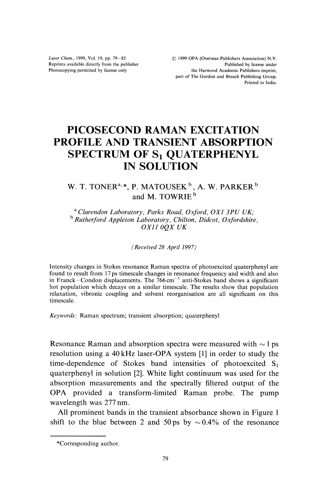Laser Chem., 1999, Vol. 19, pp. 79-82 Reprints available directly from the publisher Photocopying permitted by license only

(C) <sup>1999</sup> OPA (Overseas Publishers Association) N.V. Published by license under the Harwood Academic Publishers imprint, part of The Gordon and Breach Publishing Group. Printed in India.

## PICOSECOND RAMAN EXCITATION PROFILE AND TRANSIENT ABSORPTION SPECTRUM OF S<sub>1</sub> QUATERPHENYL IN SOLUTION

## W. T. TONER $^{a,\, \ast}$ , P. MATOUSEK  $^{\rm b}$  , A. W. PARKER  $^{\rm b}$ and M. TOWRIE<sup>b</sup>

<sup>a</sup> Clarendon Laboratory, Parks Road, Oxford, OX1 3PU UK; <sup>b</sup> Rutherford Appleton Laboratory, Chilton, Didcot, Oxfordshire, 0Xll OQX UK

(Received 28 April 1997)

Intensity changes in Stokes resonance Raman spectra of photoexcited quaterphenyl are found to result from 17 ps timescale changes in resonance frequency and width and also in Franck-Condon displacements. The  $766 \text{ cm}^{-1}$  anti-Stokes band shows a significant hot population which decays on a similar timescale. The results show that population relaxation, vibronic coupling and solvent reorganisation are all significant on this timescale.

Keywords." Raman spectrum; transient absorption; quaterphenyl

Resonance Raman and absorption spectra were measured with  $\sim$  l ps resolution using a 40 kHz laser-OPA system [1] in order to study the time-dependence of Stokes band intensities of photoexcited  $S_1$ quaterphenyl in solution [2]. White light continuum was used for the absorption measurements and the spectrally filtered output of the OPA provided <sup>a</sup> transform-limited Raman probe. The pump wavelength was 277 nm.

All prominent bands in the transient absorbance shown in Figure 1 shift to the blue between 2 and 50 ps by  $\sim 0.4\%$  of the resonance

<sup>\*</sup>Corresponding author.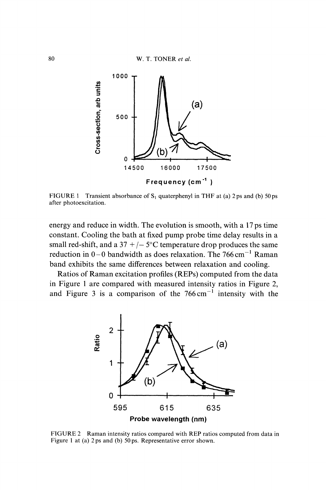

FIGURE 1 Transient absorbance of  $S_1$  quaterphenyl in THF at (a) 2ps and (b) 50ps after photoexcitation.

energy and reduce in width. The evolution is smooth, with a 17 ps time constant. Cooling the bath at fixed pump probe time delay results in a small red-shift, and a 37 +/ $-$  5°C temperature drop produces the same reduction in  $0-0$  bandwidth as does relaxation. The 766 cm<sup>-1</sup> Raman band exhibits the same differences between relaxation and cooling. band exhibits the same differences between relaxation and cooling.

Ratios of Raman excitation profiles (REPs) computed from the data in Figure 1 are compared with measured intensity ratios in Figure 2, and Figure 3 is a comparison of the  $766 \text{ cm}^{-1}$  intensity with the



FIGURE <sup>2</sup> Raman intensity ratios compared with REP ratios computed from data in Figure 1 at (a)  $2 \text{ ps}$  and (b)  $50 \text{ ps}$ . Representative error shown.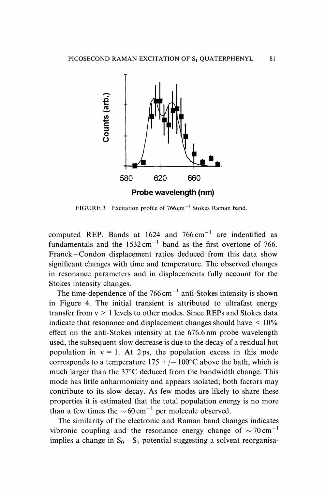

FIGURE 3 Excitation profile of  $766 \text{ cm}^{-1}$  Stokes Raman band.

computed REP. Bands at  $1624$  and  $766 \text{ cm}^{-1}$  are indentified as computed REP. Bands at  $1624$  and  $766 \text{ cm}^{-1}$  are indentified as fundamentals and the  $1532 \text{ cm}^{-1}$  band as the first overtone of 766. fundamentals and the  $1532 \text{ cm}^{-1}$  band as the first overtone of 766.<br>Franck–Condon displacement ratios deduced from this data show significant changes with time and temperature. The observed changes in resonance parameters and in displacements fully account for the Stokes intensity changes.

The time-dependence of the  $766 \text{ cm}^{-1}$  anti-Stokes intensity is shown The time-dependence of the  $766 \text{ cm}^{-1}$  anti-Stokes intensity is shown<br>in Figure 4. The initial transient is attributed to ultrafast energy transfer from  $v > 1$  levels to other modes. Since REPs and Stokes data indicate that resonance and displacement changes should have  $\leq 10\%$ effect on the anti-Stokes intensity at the 676.6 nm probe wavelength used, the subsequent slow decrease is due to the decay of a residual hot population in  $v = 1$ . At 2ps, the population excess in this mode corresponds to a temperature  $175 + (-100^{\circ}C)$  above the bath, which is much larger than the  $37^{\circ}$ C deduced from the bandwidth change. This mode has little anharmonicity and appears isolated; both factors may contribute to its slow decay. As few modes are likely to share these properties it is estimated that the total population energy is no more than a few times the  $\sim 60 \text{ cm}^{-1}$  per molecule observed.

an a few times the  $\sim 60 \text{ cm}^{-1}$  per molecule observed.<br>The similarity of the electronic and Raman band changes indicates vibronic coupling and the resonance energy change of  $\sim$  70 cm implies a change in  $S_0 - S_1$  potential suggesting a solvent reorganisa-